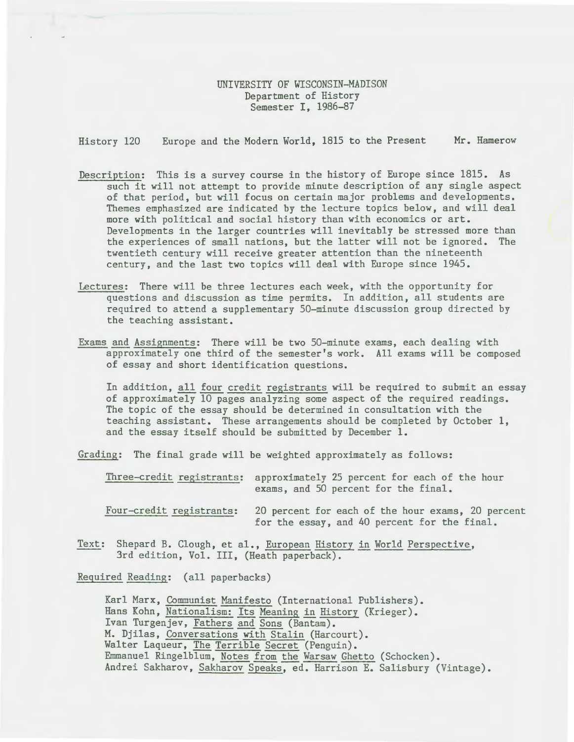## UNIVERSITY OF WISCONSIN-MADISON Department of History Semester I, 1986-87

History 120 Europe and the Modern World, 1815 to the Present **Mr.** Hamerow

- Description: This is a survey course in the history of Europe since 1815. As such it will not attempt to provide minute description of any single aspect of that period, but will focus on certain major problems and developments. Themes emphasized are indicated by the lecture topics below, and will deal more with political and social history than with economics or art. Developments in the larger countries will inevitably be stressed more than the experiences of small nations, but the latter will not be ignored. The twentieth century will receive greater attention than the nineteenth century, and the last two topics will deal with Europe since 1945.
- Lectures: There will be three lectures each week, with the opportunity for questions and discussion as time permits. In addition, all students are required to attend a supplementary 50-minute discussion group directed by the teaching assistant.
- Exams and Assignments: There will be two 50-minute exams, each dealing with approximately one third of the semester's work. All exams will be composed of essay and short identification questions.

In addition, all four credit registrants will be required to submit an essay of approximately 10 pages analyzing some aspect of the required readings. The topic of the essay should be determined in consultation with the teaching assistant. These arrangements should be completed by October **1,**  and the essay itself should be submitted by December 1.

Grading: The final grade will be weighted approximately as follows:

Three-credit registrants: approximately 25 percent for each of the hour exams, and 50 percent for the final.

Four-credit registrants: 20 percent for each of the hour exams, 20 percent for the essay, and 40 percent for the final.

Text: Shepard B. Clough, et al., European History in World Perspective, 3rd edition, Vol. III, (Heath paperback).

Required Reading: (all paperbacks)

Karl Marx, Communist Manifesto (International Publishers). Hans Kohn, Nationalism: Its Meaning in History (Krieger). Ivan Turgenjev, Fathers and Sons (Bantam). M. Djilas, Conversations with Stalin (Harcourt). Walter Laqueur, The Terrible Secret (Penguin). Emmanuel Ringelblum, Notes from the Warsaw Ghetto (Schocken). Andrei Sakharov, Sakharov Speaks, ed. Harrison E. Salisbury (Vintage).